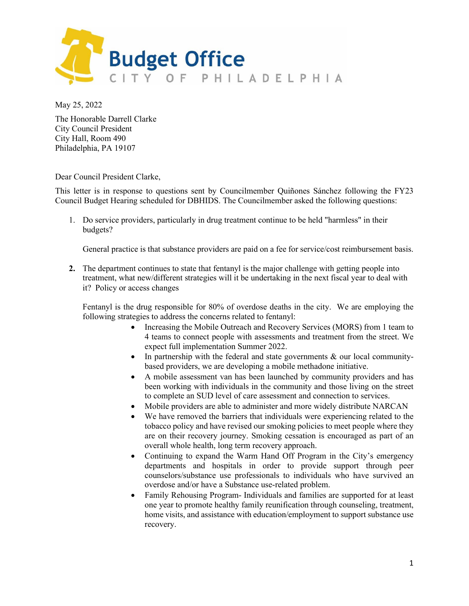

May 25, 2022

The Honorable Darrell Clarke City Council President City Hall, Room 490 Philadelphia, PA 19107

Dear Council President Clarke,

This letter is in response to questions sent by Councilmember Quiñones Sánchez following the FY23 Council Budget Hearing scheduled for DBHIDS. The Councilmember asked the following questions:

1. Do service providers, particularly in drug treatment continue to be held "harmless" in their budgets?

General practice is that substance providers are paid on a fee for service/cost reimbursement basis.

**2.** The department continues to state that fentanyl is the major challenge with getting people into treatment, what new/different strategies will it be undertaking in the next fiscal year to deal with it? Policy or access changes

Fentanyl is the drug responsible for 80% of overdose deaths in the city. We are employing the following strategies to address the concerns related to fentanyl:

- Increasing the Mobile Outreach and Recovery Services (MORS) from 1 team to 4 teams to connect people with assessments and treatment from the street. We expect full implementation Summer 2022.
- In partnership with the federal and state governments & our local communitybased providers, we are developing a mobile methadone initiative.
- A mobile assessment van has been launched by community providers and has been working with individuals in the community and those living on the street to complete an SUD level of care assessment and connection to services.
- Mobile providers are able to administer and more widely distribute NARCAN
- We have removed the barriers that individuals were experiencing related to the tobacco policy and have revised our smoking policies to meet people where they are on their recovery journey. Smoking cessation is encouraged as part of an overall whole health, long term recovery approach.
- Continuing to expand the Warm Hand Off Program in the City's emergency departments and hospitals in order to provide support through peer counselors/substance use professionals to individuals who have survived an overdose and/or have a Substance use-related problem.
- Family Rehousing Program- Individuals and families are supported for at least one year to promote healthy family reunification through counseling, treatment, home visits, and assistance with education/employment to support substance use recovery.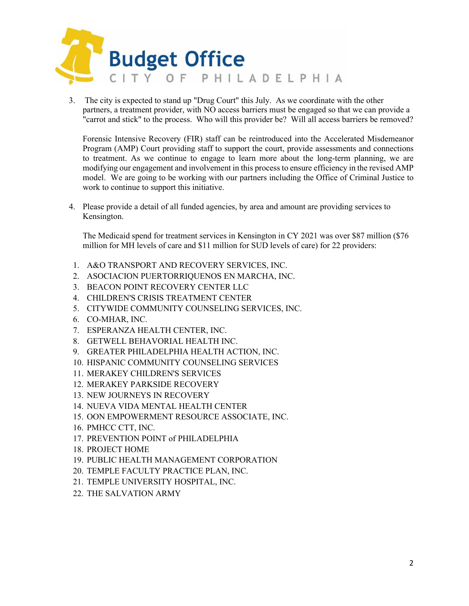

3. The city is expected to stand up "Drug Court" this July. As we coordinate with the other partners, a treatment provider, with NO access barriers must be engaged so that we can provide a "carrot and stick" to the process. Who will this provider be? Will all access barriers be removed?

Forensic Intensive Recovery (FIR) staff can be reintroduced into the Accelerated Misdemeanor Program (AMP) Court providing staff to support the court, provide assessments and connections to treatment. As we continue to engage to learn more about the long-term planning, we are modifying our engagement and involvement in this process to ensure efficiency in the revised AMP model. We are going to be working with our partners including the Office of Criminal Justice to work to continue to support this initiative.

4. Please provide a detail of all funded agencies, by area and amount are providing services to Kensington.

The Medicaid spend for treatment services in Kensington in CY 2021 was over \$87 million (\$76 million for MH levels of care and \$11 million for SUD levels of care) for 22 providers:

- 1. A&O TRANSPORT AND RECOVERY SERVICES, INC.
- 2. ASOCIACION PUERTORRIQUENOS EN MARCHA, INC.
- 3. BEACON POINT RECOVERY CENTER LLC
- 4. CHILDREN'S CRISIS TREATMENT CENTER
- 5. CITYWIDE COMMUNITY COUNSELING SERVICES, INC.
- 6. CO-MHAR, INC.
- 7. ESPERANZA HEALTH CENTER, INC.
- 8. GETWELL BEHAVORIAL HEALTH INC.
- 9. GREATER PHILADELPHIA HEALTH ACTION, INC.
- 10. HISPANIC COMMUNITY COUNSELING SERVICES
- 11. MERAKEY CHILDREN'S SERVICES
- 12. MERAKEY PARKSIDE RECOVERY
- 13. NEW JOURNEYS IN RECOVERY
- 14. NUEVA VIDA MENTAL HEALTH CENTER
- 15. OON EMPOWERMENT RESOURCE ASSOCIATE, INC.
- 16. PMHCC CTT, INC.
- 17. PREVENTION POINT of PHILADELPHIA
- 18. PROJECT HOME
- 19. PUBLIC HEALTH MANAGEMENT CORPORATION
- 20. TEMPLE FACULTY PRACTICE PLAN, INC.
- 21. TEMPLE UNIVERSITY HOSPITAL, INC.
- 22. THE SALVATION ARMY